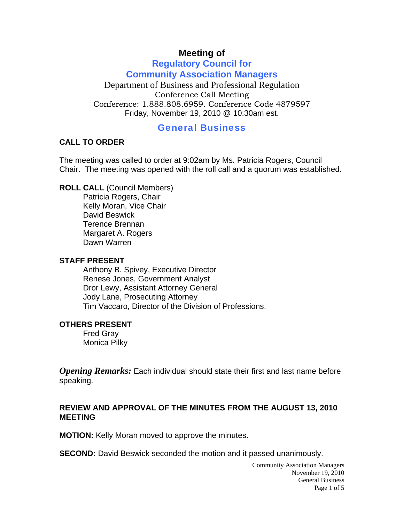# **Meeting of**

## **Regulatory Council for Community Association Managers**

Department of Business and Professional Regulation Conference Call Meeting Conference: 1.888.808.6959. Conference Code 4879597 Friday, November 19, 2010 @ 10:30am est.

## General Business

#### **CALL TO ORDER**

The meeting was called to order at 9:02am by Ms. Patricia Rogers, Council Chair. The meeting was opened with the roll call and a quorum was established.

**ROLL CALL** (Council Members)

Patricia Rogers, Chair Kelly Moran, Vice Chair David Beswick Terence Brennan Margaret A. Rogers Dawn Warren

#### **STAFF PRESENT**

Anthony B. Spivey, Executive Director Renese Jones, Government Analyst Dror Lewy, Assistant Attorney General Jody Lane, Prosecuting Attorney Tim Vaccaro, Director of the Division of Professions.

#### **OTHERS PRESENT**

Fred Gray Monica Pilky

*Opening Remarks:* Each individual should state their first and last name before speaking.

## **REVIEW AND APPROVAL OF THE MINUTES FROM THE AUGUST 13, 2010 MEETING**

**MOTION:** Kelly Moran moved to approve the minutes.

**SECOND:** David Beswick seconded the motion and it passed unanimously.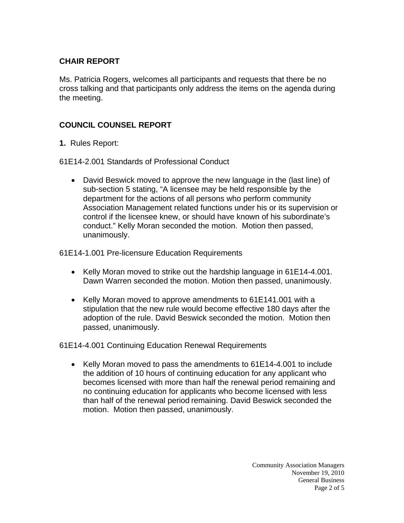# **CHAIR REPORT**

Ms. Patricia Rogers, welcomes all participants and requests that there be no cross talking and that participants only address the items on the agenda during the meeting.

## **COUNCIL COUNSEL REPORT**

**1.** Rules Report:

61E14-2.001 Standards of Professional Conduct

• David Beswick moved to approve the new language in the (last line) of sub-section 5 stating, "A licensee may be held responsible by the department for the actions of all persons who perform community Association Management related functions under his or its supervision or control if the licensee knew, or should have known of his subordinate's conduct." Kelly Moran seconded the motion. Motion then passed, unanimously.

61E14-1.001 Pre-licensure Education Requirements

- Kelly Moran moved to strike out the hardship language in 61E14-4.001. Dawn Warren seconded the motion. Motion then passed, unanimously.
- Kelly Moran moved to approve amendments to 61E141.001 with a stipulation that the new rule would become effective 180 days after the adoption of the rule. David Beswick seconded the motion. Motion then passed, unanimously.

61E14-4.001 Continuing Education Renewal Requirements

• Kelly Moran moved to pass the amendments to 61E14-4.001 to include the addition of 10 hours of continuing education for any applicant who becomes licensed with more than half the renewal period remaining and no continuing education for applicants who become licensed with less than half of the renewal period remaining. David Beswick seconded the motion. Motion then passed, unanimously.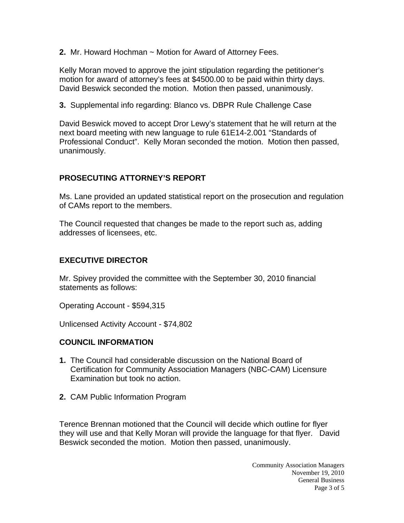**2.** Mr. Howard Hochman ~ Motion for Award of Attorney Fees.

Kelly Moran moved to approve the joint stipulation regarding the petitioner's motion for award of attorney's fees at \$4500.00 to be paid within thirty days. David Beswick seconded the motion. Motion then passed, unanimously.

**3.** Supplemental info regarding: Blanco vs. DBPR Rule Challenge Case

David Beswick moved to accept Dror Lewy's statement that he will return at the next board meeting with new language to rule 61E14-2.001 "Standards of Professional Conduct". Kelly Moran seconded the motion. Motion then passed, unanimously.

## **PROSECUTING ATTORNEY'S REPORT**

Ms. Lane provided an updated statistical report on the prosecution and regulation of CAMs report to the members.

The Council requested that changes be made to the report such as, adding addresses of licensees, etc.

## **EXECUTIVE DIRECTOR**

Mr. Spivey provided the committee with the September 30, 2010 financial statements as follows:

Operating Account - \$594,315

Unlicensed Activity Account - \$74,802

## **COUNCIL INFORMATION**

- **1.** The Council had considerable discussion on the National Board of Certification for Community Association Managers (NBC-CAM) Licensure Examination but took no action.
- **2.** CAM Public Information Program

Terence Brennan motioned that the Council will decide which outline for flyer they will use and that Kelly Moran will provide the language for that flyer. David Beswick seconded the motion. Motion then passed, unanimously.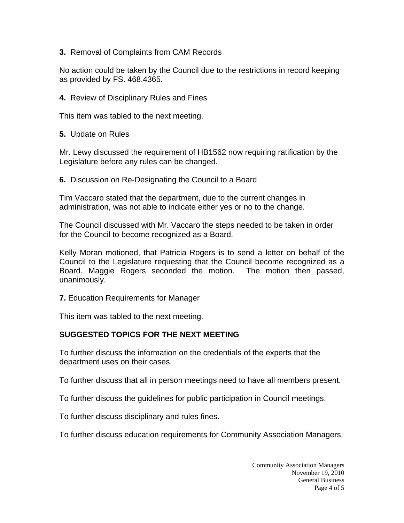**3.** Removal of Complaints from CAM Records

No action could be taken by the Council due to the restrictions in record keeping as provided by FS. 468.4365.

**4.** Review of Disciplinary Rules and Fines

This item was tabled to the next meeting.

**5.** Update on Rules

Mr. Lewy discussed the requirement of HB1562 now requiring ratification by the Legislature before any rules can be changed.

**6.** Discussion on Re-Designating the Council to a Board

Tim Vaccaro stated that the department, due to the current changes in administration, was not able to indicate either yes or no to the change.

The Council discussed with Mr. Vaccaro the steps needed to be taken in order for the Council to become recognized as a Board.

Kelly Moran motioned, that Patricia Rogers is to send a letter on behalf of the Council to the Legislature requesting that the Council become recognized as a Board. Maggie Rogers seconded the motion. The motion then passed, unanimously.

**7.** Education Requirements for Manager

This item was tabled to the next meeting.

## **SUGGESTED TOPICS FOR THE NEXT MEETING**

To further discuss the information on the credentials of the experts that the department uses on their cases.

To further discuss that all in person meetings need to have all members present.

To further discuss the guidelines for public participation in Council meetings.

To further discuss disciplinary and rules fines.

To further discuss education requirements for Community Association Managers.